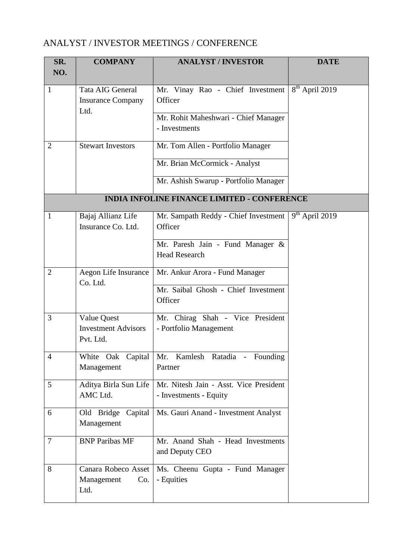## ANALYST / INVESTOR MEETINGS / CONFERENCE

| SR.<br>NO.     | <b>COMPANY</b>                                         | <b>ANALYST / INVESTOR</b>                                        | <b>DATE</b>      |
|----------------|--------------------------------------------------------|------------------------------------------------------------------|------------------|
| $\mathbf{1}$   | Tata AIG General<br><b>Insurance Company</b><br>Ltd.   | Mr. Vinay Rao - Chief Investment<br>Officer                      | $8th$ April 2019 |
|                |                                                        | Mr. Rohit Maheshwari - Chief Manager<br>- Investments            |                  |
| $\overline{2}$ | <b>Stewart Investors</b>                               | Mr. Tom Allen - Portfolio Manager                                |                  |
|                |                                                        | Mr. Brian McCormick - Analyst                                    |                  |
|                |                                                        | Mr. Ashish Swarup - Portfolio Manager                            |                  |
|                |                                                        | <b>INDIA INFOLINE FINANCE LIMITED - CONFERENCE</b>               |                  |
| 1              | Bajaj Allianz Life<br>Insurance Co. Ltd.               | Mr. Sampath Reddy - Chief Investment<br>Officer                  | $9th$ April 2019 |
|                |                                                        | Mr. Paresh Jain - Fund Manager &<br><b>Head Research</b>         |                  |
| $\overline{2}$ | Aegon Life Insurance<br>Co. Ltd.                       | Mr. Ankur Arora - Fund Manager                                   |                  |
|                |                                                        | Mr. Saibal Ghosh - Chief Investment<br>Officer                   |                  |
| 3              | Value Quest<br><b>Investment Advisors</b><br>Pvt. Ltd. | Mr. Chirag Shah - Vice President<br>- Portfolio Management       |                  |
| $\overline{4}$ | White Oak Capital<br>Management                        | Mr. Kamlesh Ratadia - Founding<br>Partner                        |                  |
| 5              | Aditya Birla Sun Life<br>AMC Ltd.                      | Mr. Nitesh Jain - Asst. Vice President<br>- Investments - Equity |                  |
| 6              | Old Bridge Capital<br>Management                       | Ms. Gauri Anand - Investment Analyst                             |                  |
| $\overline{7}$ | <b>BNP Paribas MF</b>                                  | Mr. Anand Shah - Head Investments<br>and Deputy CEO              |                  |
| 8              | Canara Robeco Asset<br>Management<br>Co.<br>Ltd.       | Ms. Cheenu Gupta - Fund Manager<br>- Equities                    |                  |